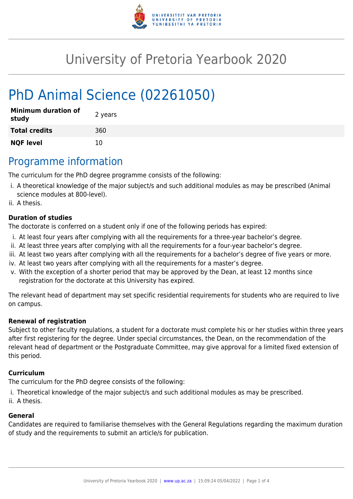

# University of Pretoria Yearbook 2020

# PhD Animal Science (02261050)

| <b>Minimum duration of</b><br>study | 2 years |
|-------------------------------------|---------|
| <b>Total credits</b>                | 360     |
| <b>NQF level</b>                    | 10      |

## Programme information

The curriculum for the PhD degree programme consists of the following:

- i. A theoretical knowledge of the major subject/s and such additional modules as may be prescribed (Animal science modules at 800-level).
- ii. A thesis.

#### **Duration of studies**

The doctorate is conferred on a student only if one of the following periods has expired:

- i. At least four years after complying with all the requirements for a three-year bachelor's degree.
- ii. At least three years after complying with all the requirements for a four-year bachelor's degree.
- iii. At least two years after complying with all the requirements for a bachelor's degree of five years or more.
- iv. At least two years after complying with all the requirements for a master's degree.
- v. With the exception of a shorter period that may be approved by the Dean, at least 12 months since registration for the doctorate at this University has expired.

The relevant head of department may set specific residential requirements for students who are required to live on campus.

#### **Renewal of registration**

Subject to other faculty regulations, a student for a doctorate must complete his or her studies within three years after first registering for the degree. Under special circumstances, the Dean, on the recommendation of the relevant head of department or the Postgraduate Committee, may give approval for a limited fixed extension of this period.

#### **Curriculum**

The curriculum for the PhD degree consists of the following:

- i. Theoretical knowledge of the major subject/s and such additional modules as may be prescribed.
- ii. A thesis.

#### **General**

Candidates are required to familiarise themselves with the General Regulations regarding the maximum duration of study and the requirements to submit an article/s for publication.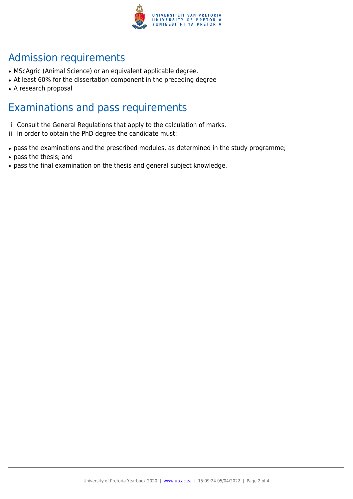

## Admission requirements

- MScAgric (Animal Science) or an equivalent applicable degree.
- At least 60% for the dissertation component in the preceding degree
- A research proposal

### Examinations and pass requirements

- i. Consult the General Regulations that apply to the calculation of marks.
- ii. In order to obtain the PhD degree the candidate must:
- pass the examinations and the prescribed modules, as determined in the study programme;
- pass the thesis; and
- pass the final examination on the thesis and general subject knowledge.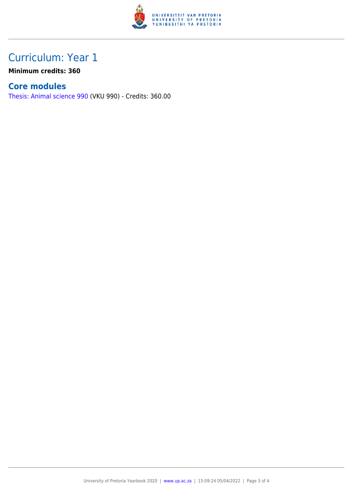

## Curriculum: Year 1

**Minimum credits: 360**

### **Core modules**

[Thesis: Animal science 990](https://www.up.ac.za/yearbooks/2020/modules/view/VKU 990) (VKU 990) - Credits: 360.00